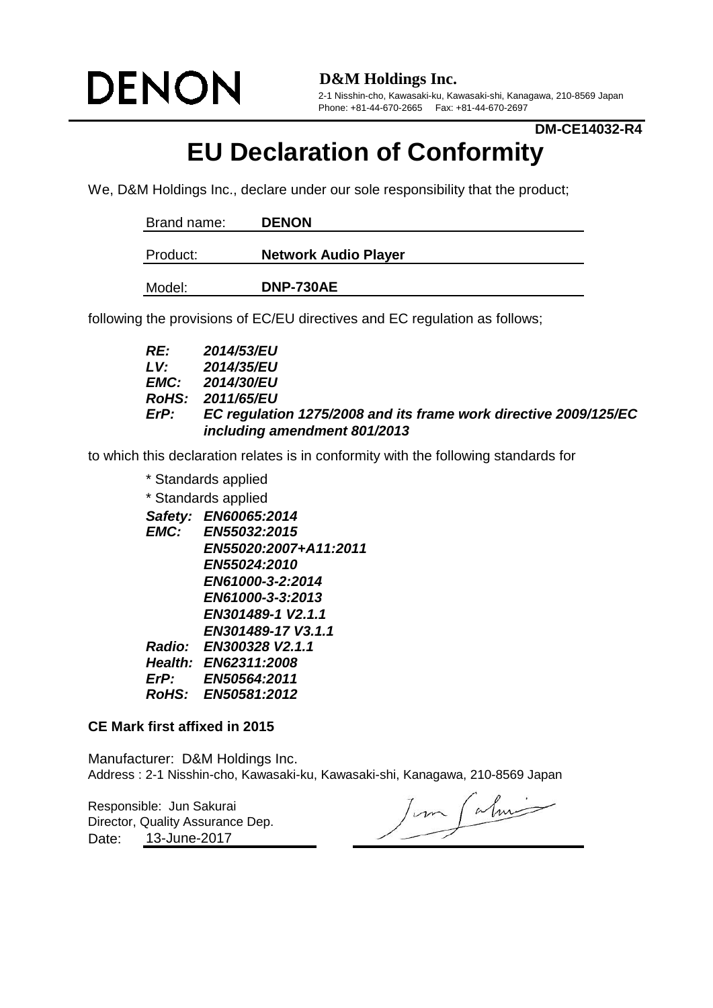

**D&M Holdings Inc.**

2-1 Nisshin-cho, Kawasaki-ku, Kawasaki-shi, Kanagawa, 210-8569 Japan Phone: +81-44-670-2665 Fax: +81-44-670-2697

## **DM-CE14032-R4**

## **EU Declaration of Conformity**

We, D&M Holdings Inc., declare under our sole responsibility that the product;

| Brand name: | <b>DENON</b>                |
|-------------|-----------------------------|
| Product:    | <b>Network Audio Player</b> |
| Model:      | <b>DNP-730AE</b>            |

following the provisions of EC/EU directives and EC regulation as follows;

| RE:         | <b>2014/53/EU</b>                                                |
|-------------|------------------------------------------------------------------|
| LV:         | <b>2014/35/EU</b>                                                |
|             | <b>EMC:</b> 2014/30/EU                                           |
|             | <b>RoHS: 2011/65/EU</b>                                          |
| <i>ErP:</i> | EC regulation 1275/2008 and its frame work directive 2009/125/EC |
|             | including amendment 801/2013                                     |

to which this declaration relates is in conformity with the following standards for

*Safety: EN60065:2014 EMC: EN55032:2015 EN55020:2007+A11:2011 EN55024:2010 EN61000-3-2:2014 EN61000-3-3:2013 EN301489-1 V2.1.1 EN301489-17 V3.1.1 Radio: EN300328 V2.1.1 Health: EN62311:2008 ErP: EN50564:2011 RoHS: EN50581:2012* \* Standards applied \* Standards applied

## **CE Mark first affixed in 2015**

Manufacturer: D&M Holdings Inc.

Responsible: Jun Sakurai Date: Director, Quality Assurance Dep. 13-June-2017

Address : 2-1 Nisshin-cho, Kawasaki-ku, Kawasaki-shi, Kanagawa, 210-8569 Japan<br>Responsible: Jun Sakurai<br>Director, Quality Assurance Dep.<br>Determined by: